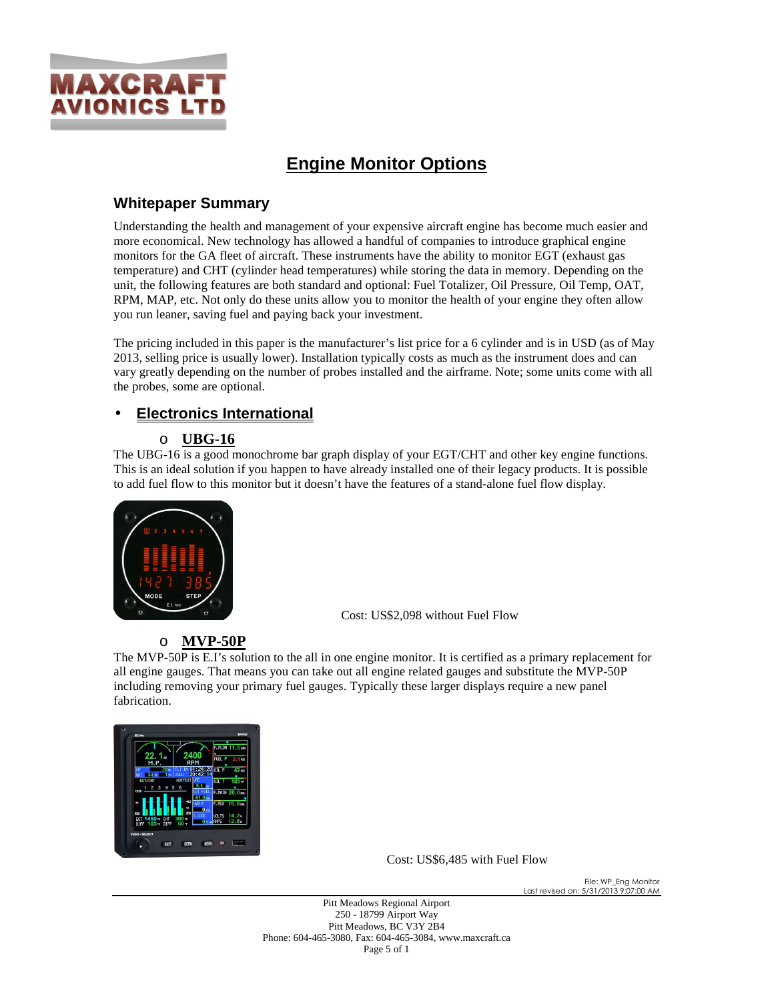

# **Engine Monitor Options**

## **Whitepaper Summary**

Understanding the health and management of your expensive aircraft engine has become much easier and more economical. New technology has allowed a handful of companies to introduce graphical engine monitors for the GA fleet of aircraft. These instruments have the ability to monitor EGT (exhaust gas temperature) and CHT (cylinder head temperatures) while storing the data in memory. Depending on the unit, the following features are both standard and optional: Fuel Totalizer, Oil Pressure, Oil Temp, OAT, RPM, MAP, etc. Not only do these units allow you to monitor the health of your engine they often allow you run leaner, saving fuel and paying back your investment.

The pricing included in this paper is the manufacturer's list price for a 6 cylinder and is in USD (as of May 2013, selling price is usually lower). Installation typically costs as much as the instrument does and can vary greatly depending on the number of probes installed and the airframe. Note; some units come with all the probes, some are optional.

## • **Electronics International**

#### o **UBG-16**

The UBG-16 is a good monochrome bar graph display of your EGT/CHT and other key engine functions. This is an ideal solution if you happen to have already installed one of their legacy products. It is possible to add fuel flow to this monitor but it doesn't have the features of a stand-alone fuel flow display.



Cost: US\$2,098 without Fuel Flow

#### o **MVP-50P**

The MVP-50P is E.I's solution to the all in one engine monitor. It is certified as a primary replacement for all engine gauges. That means you can take out all engine related gauges and substitute the MVP-50P including removing your primary fuel gauges. Typically these larger displays require a new panel fabrication.



Cost: US\$6,485 with Fuel Flow

File: WP\_Eng Monitor Last revised on: 5/31/2013 9:07:00 AM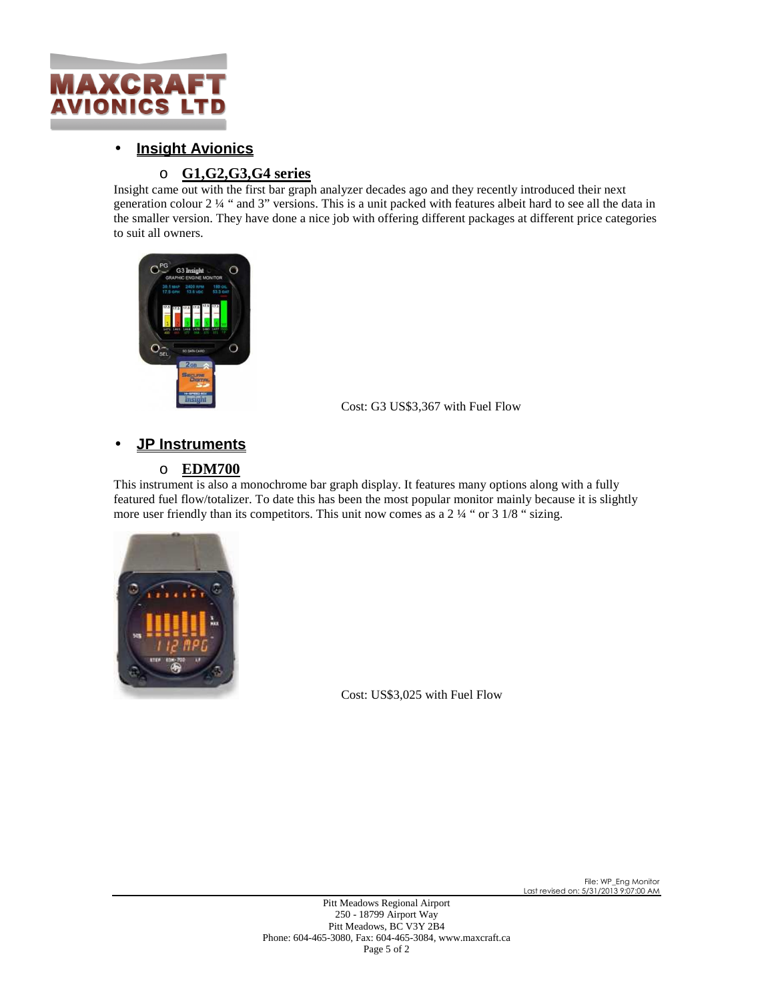

# • **Insight Avionics**

## o **G1,G2,G3,G4 series**

Insight came out with the first bar graph analyzer decades ago and they recently introduced their next generation colour 2 ¼ " and 3" versions. This is a unit packed with features albeit hard to see all the data in the smaller version. They have done a nice job with offering different packages at different price categories to suit all owners.



Cost: G3 US\$3,367 with Fuel Flow

# • **JP Instruments**

### o **EDM700**

This instrument is also a monochrome bar graph display. It features many options along with a fully featured fuel flow/totalizer. To date this has been the most popular monitor mainly because it is slightly more user friendly than its competitors. This unit now comes as a 2  $\frac{1}{4}$  " or 3  $\frac{1}{8}$  " sizing.



Cost: US\$3,025 with Fuel Flow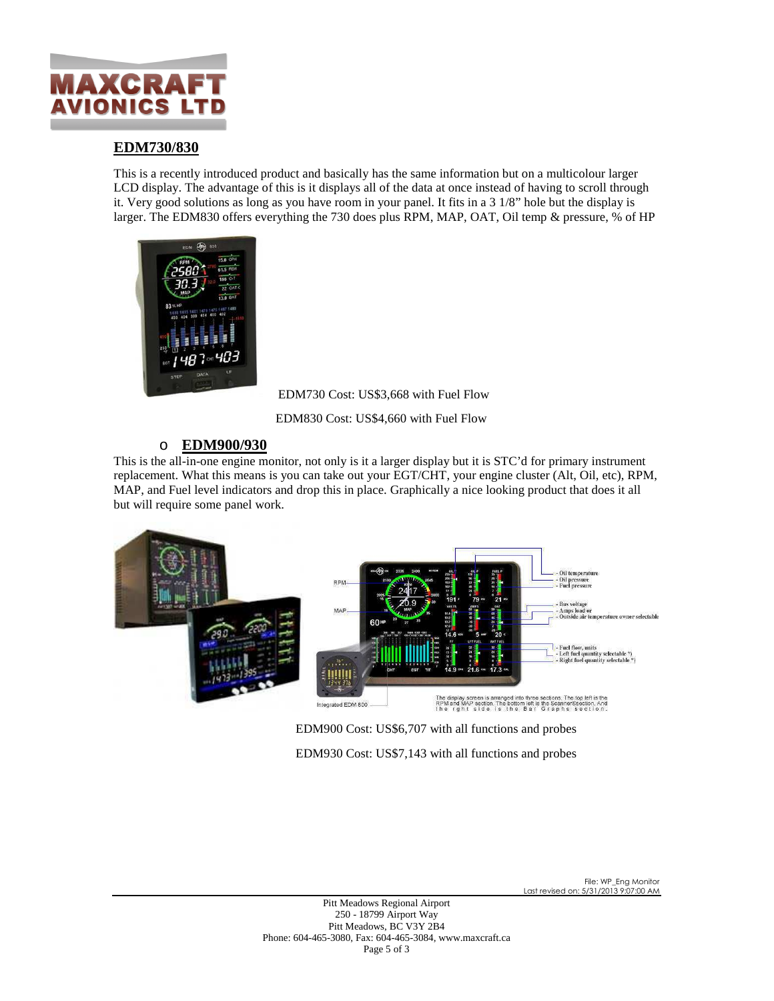

#### **EDM730/830**

This is a recently introduced product and basically has the same information but on a multicolour larger LCD display. The advantage of this is it displays all of the data at once instead of having to scroll through it. Very good solutions as long as you have room in your panel. It fits in a 3 1/8" hole but the display is larger. The EDM830 offers everything the 730 does plus RPM, MAP, OAT, Oil temp & pressure, % of HP



EDM730 Cost: US\$3,668 with Fuel Flow

EDM830 Cost: US\$4,660 with Fuel Flow

#### o **EDM900/930**

This is the all-in-one engine monitor, not only is it a larger display but it is STC'd for primary instrument replacement. What this means is you can take out your EGT/CHT, your engine cluster (Alt, Oil, etc), RPM, MAP, and Fuel level indicators and drop this in place. Graphically a nice looking product that does it all but will require some panel work.



EDM900 Cost: US\$6,707 with all functions and probes EDM930 Cost: US\$7,143 with all functions and probes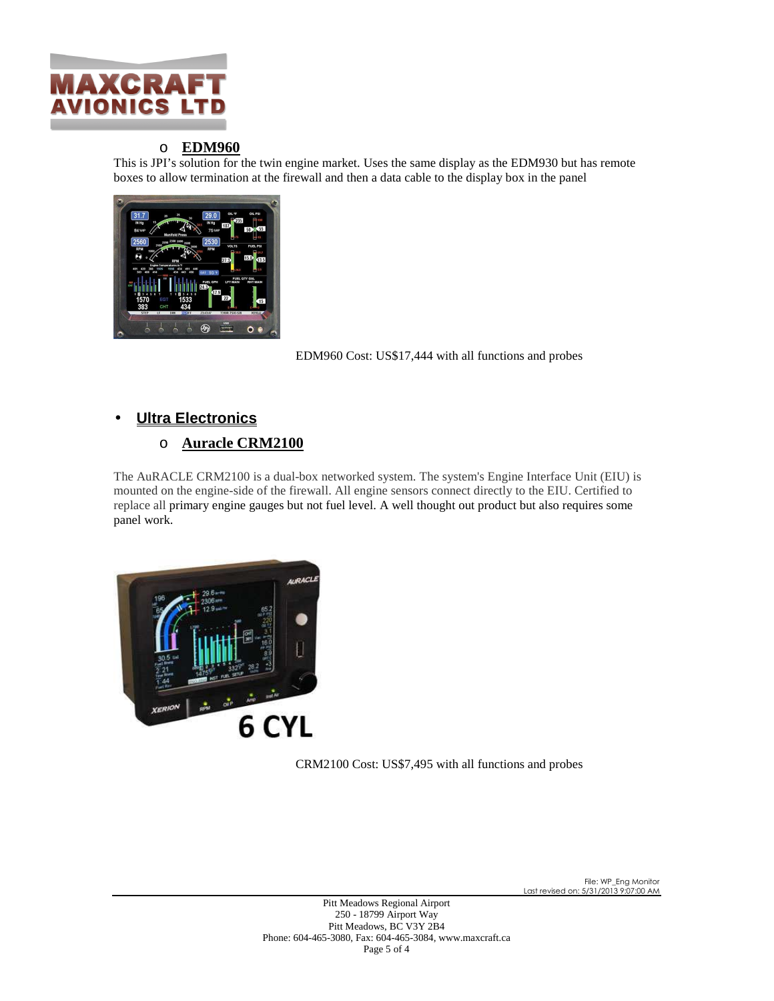

#### o **EDM960**

This is JPI's solution for the twin engine market. Uses the same display as the EDM930 but has remote boxes to allow termination at the firewall and then a data cable to the display box in the panel



EDM960 Cost: US\$17,444 with all functions and probes

### • **Ultra Electronics**

#### o **Auracle CRM2100**

The AuRACLE CRM2100 is a dual-box networked system. The system's Engine Interface Unit (EIU) is mounted on the engine-side of the firewall. All engine sensors connect directly to the EIU. Certified to replace all primary engine gauges but not fuel level. A well thought out product but also requires some panel work.



CRM2100 Cost: US\$7,495 with all functions and probes